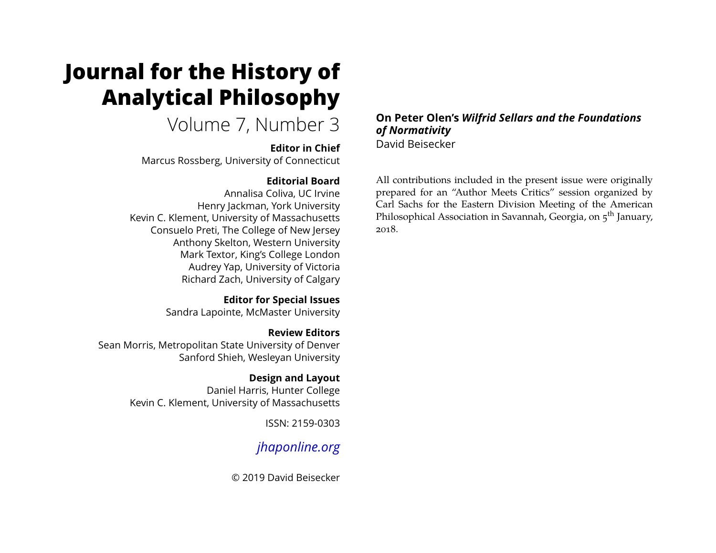# **Journal for the History of Analytical Philosophy**

# Volume 7, Number 3

# **Editor in Chief**

Marcus Rossberg, University of Connecticut

# **Editorial Board**

Annalisa Coliva, UC Irvine Henry Jackman, York University Kevin C. Klement, University of Massachusetts Consuelo Preti, The College of New Jersey Anthony Skelton, Western University Mark Textor, King's College London Audrey Yap, University of Victoria Richard Zach, University of Calgary

> **Editor for Special Issues** Sandra Lapointe, McMaster University

**Review Editors** Sean Morris, Metropolitan State University of Denver Sanford Shieh, Wesleyan University

> **Design and Layout** Daniel Harris, Hunter College Kevin C. Klement, University of Massachusetts

> > ISSN: 2159-0303

# *[jhaponline.org](https://jhaponline.org)*

© 2019 David Beisecker

### **On Peter Olen's** *Wilfrid Sellars and the Foundations of Normativity* David Beisecker

All contributions included in the present issue were originally prepared for an "Author Meets Critics" session organized by Carl Sachs for the Eastern Division Meeting of the American Philosophical Association in Savannah, Georgia, on 5<sup>th</sup> January, 2018.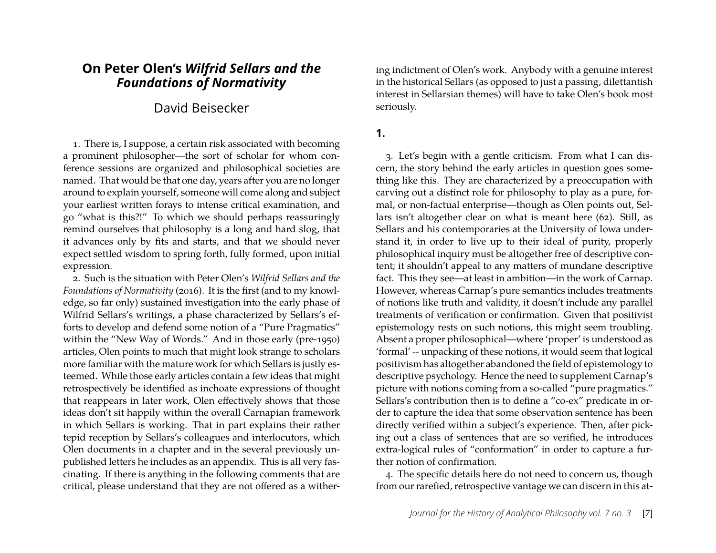# **On Peter Olen's** *Wilfrid Sellars and the Foundations of Normativity*

# David Beisecker

1. There is, I suppose, a certain risk associated with becoming a prominent philosopher—the sort of scholar for whom conference sessions are organized and philosophical societies are named. That would be that one day, years after you are no longer around to explain yourself, someone will come along and subject your earliest written forays to intense critical examination, and go "what is this?!" To which we should perhaps reassuringly remind ourselves that philosophy is a long and hard slog, that it advances only by fits and starts, and that we should never expect settled wisdom to spring forth, fully formed, upon initial expression.

2. Such is the situation with Peter Olen's *Wilfrid Sellars and the Foundations of Normativity* (2016). It is the first (and to my knowledge, so far only) sustained investigation into the early phase of Wilfrid Sellars's writings, a phase characterized by Sellars's efforts to develop and defend some notion of a "Pure Pragmatics" within the "New Way of Words." And in those early (pre-1950) articles, Olen points to much that might look strange to scholars more familiar with the mature work for which Sellars is justly esteemed. While those early articles contain a few ideas that might retrospectively be identified as inchoate expressions of thought that reappears in later work, Olen effectively shows that those ideas don't sit happily within the overall Carnapian framework in which Sellars is working. That in part explains their rather tepid reception by Sellars's colleagues and interlocutors, which Olen documents in a chapter and in the several previously unpublished letters he includes as an appendix. This is all very fascinating. If there is anything in the following comments that are critical, please understand that they are not offered as a wither-

ing indictment of Olen's work. Anybody with a genuine interest in the historical Sellars (as opposed to just a passing, dilettantish interest in Sellarsian themes) will have to take Olen's book most seriously.

### **1.**

3. Let's begin with a gentle criticism. From what I can discern, the story behind the early articles in question goes something like this. They are characterized by a preoccupation with carving out a distinct role for philosophy to play as a pure, formal, or non-factual enterprise—though as Olen points out, Sellars isn't altogether clear on what is meant here (62). Still, as Sellars and his contemporaries at the University of Iowa understand it, in order to live up to their ideal of purity, properly philosophical inquiry must be altogether free of descriptive content; it shouldn't appeal to any matters of mundane descriptive fact. This they see—at least in ambition—in the work of Carnap. However, whereas Carnap's pure semantics includes treatments of notions like truth and validity, it doesn't include any parallel treatments of verification or confirmation. Given that positivist epistemology rests on such notions, this might seem troubling. Absent a proper philosophical—where 'proper' is understood as 'formal' -- unpacking of these notions, it would seem that logical positivism has altogether abandoned the field of epistemology to descriptive psychology. Hence the need to supplement Carnap's picture with notions coming from a so-called "pure pragmatics." Sellars's contribution then is to define a "co-ex" predicate in order to capture the idea that some observation sentence has been directly verified within a subject's experience. Then, after picking out a class of sentences that are so verified, he introduces extra-logical rules of "conformation" in order to capture a further notion of confirmation.

4. The specific details here do not need to concern us, though from our rarefied, retrospective vantage we can discern in this at-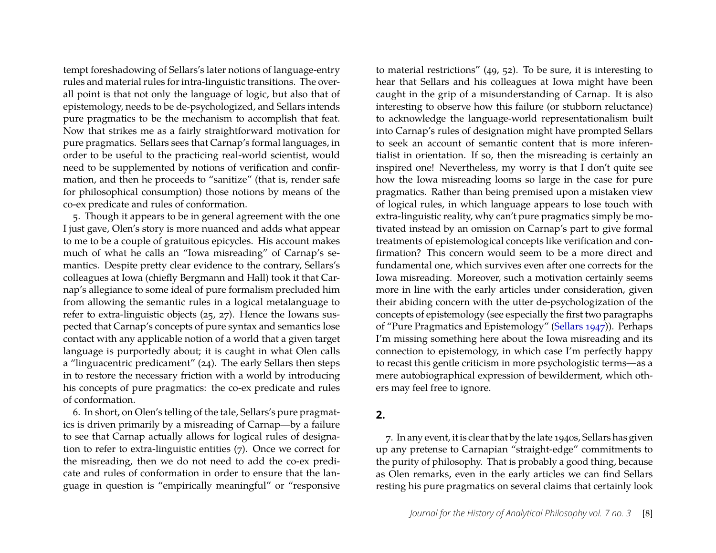tempt foreshadowing of Sellars's later notions of language-entry rules and material rules for intra-linguistic transitions. The overall point is that not only the language of logic, but also that of epistemology, needs to be de-psychologized, and Sellars intends pure pragmatics to be the mechanism to accomplish that feat. Now that strikes me as a fairly straightforward motivation for pure pragmatics. Sellars sees that Carnap's formal languages, in order to be useful to the practicing real-world scientist, would need to be supplemented by notions of verification and confirmation, and then he proceeds to "sanitize" (that is, render safe for philosophical consumption) those notions by means of the co-ex predicate and rules of conformation.

5. Though it appears to be in general agreement with the one I just gave, Olen's story is more nuanced and adds what appear to me to be a couple of gratuitous epicycles. His account makes much of what he calls an "Iowa misreading" of Carnap's semantics. Despite pretty clear evidence to the contrary, Sellars's colleagues at Iowa (chiefly Bergmann and Hall) took it that Carnap's allegiance to some ideal of pure formalism precluded him from allowing the semantic rules in a logical metalanguage to refer to extra-linguistic objects (25, 27). Hence the Iowans suspected that Carnap's concepts of pure syntax and semantics lose contact with any applicable notion of a world that a given target language is purportedly about; it is caught in what Olen calls a "linguacentric predicament" (24). The early Sellars then steps in to restore the necessary friction with a world by introducing his concepts of pure pragmatics: the co-ex predicate and rules of conformation.

6. In short, on Olen's telling of the tale, Sellars's pure pragmatics is driven primarily by a misreading of Carnap—by a failure to see that Carnap actually allows for logical rules of designation to refer to extra-linguistic entities (7). Once we correct for the misreading, then we do not need to add the co-ex predicate and rules of conformation in order to ensure that the language in question is "empirically meaningful" or "responsive to material restrictions" (49, 52). To be sure, it is interesting to hear that Sellars and his colleagues at Iowa might have been caught in the grip of a misunderstanding of Carnap. It is also interesting to observe how this failure (or stubborn reluctance) to acknowledge the language-world representationalism built into Carnap's rules of designation might have prompted Sellars to seek an account of semantic content that is more inferentialist in orientation. If so, then the misreading is certainly an inspired one! Nevertheless, my worry is that I don't quite see how the Iowa misreading looms so large in the case for pure pragmatics. Rather than being premised upon a mistaken view of logical rules, in which language appears to lose touch with extra-linguistic reality, why can't pure pragmatics simply be motivated instead by an omission on Carnap's part to give formal treatments of epistemological concepts like verification and confirmation? This concern would seem to be a more direct and fundamental one, which survives even after one corrects for the Iowa misreading. Moreover, such a motivation certainly seems more in line with the early articles under consideration, given their abiding concern with the utter de-psychologization of the concepts of epistemology (see especially the first two paragraphs of "Pure Pragmatics and Epistemology" [\(Sellars 1947\)](#page-7-0)). Perhaps I'm missing something here about the Iowa misreading and its connection to epistemology, in which case I'm perfectly happy to recast this gentle criticism in more psychologistic terms—as a mere autobiographical expression of bewilderment, which others may feel free to ignore.

#### **2.**

7. In any event, it is clear that by the late 1940s, Sellars has given up any pretense to Carnapian "straight-edge" commitments to the purity of philosophy. That is probably a good thing, because as Olen remarks, even in the early articles we can find Sellars resting his pure pragmatics on several claims that certainly look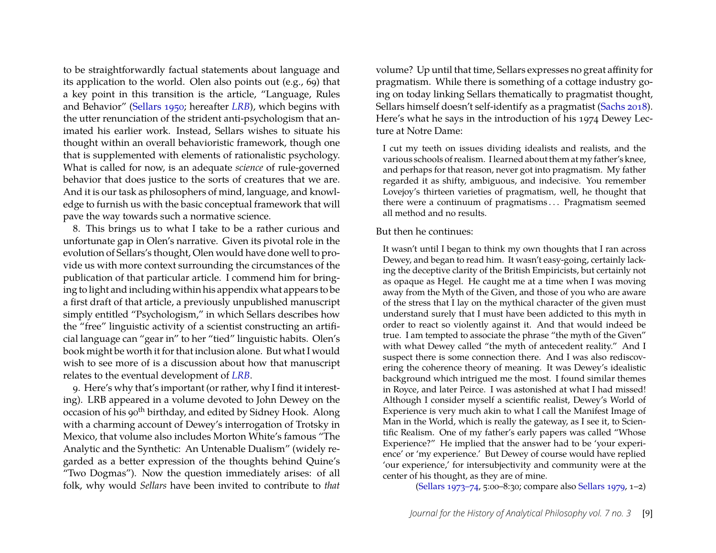to be straightforwardly factual statements about language and its application to the world. Olen also points out (e.g., 69) that a key point in this transition is the article, "Language, Rules and Behavior" [\(Sellars 1950;](#page-7-1) hereafter *[LRB](#page-7-1)*), which begins with the utter renunciation of the strident anti-psychologism that animated his earlier work. Instead, Sellars wishes to situate his thought within an overall behavioristic framework, though one that is supplemented with elements of rationalistic psychology. What is called for now, is an adequate *science* of rule-governed behavior that does justice to the sorts of creatures that we are. And it is our task as philosophers of mind, language, and knowledge to furnish us with the basic conceptual framework that will pave the way towards such a normative science.

8. This brings us to what I take to be a rather curious and unfortunate gap in Olen's narrative. Given its pivotal role in the evolution of Sellars's thought, Olen would have done well to provide us with more context surrounding the circumstances of the publication of that particular article. I commend him for bringing to light and including within his appendix what appears to be a first draft of that article, a previously unpublished manuscript simply entitled "Psychologism," in which Sellars describes how the "free" linguistic activity of a scientist constructing an artificial language can "gear in" to her "tied" linguistic habits. Olen's book might be worth it for that inclusion alone. But what I would wish to see more of is a discussion about how that manuscript relates to the eventual development of *[LRB](#page-7-1)*.

9. Here's why that's important (or rather, why I find it interesting). LRB appeared in a volume devoted to John Dewey on the occasion of his 90<sup>th</sup> birthday, and edited by Sidney Hook. Along with a charming account of Dewey's interrogation of Trotsky in Mexico, that volume also includes Morton White's famous "The Analytic and the Synthetic: An Untenable Dualism" (widely regarded as a better expression of the thoughts behind Quine's "Two Dogmas"). Now the question immediately arises: of all folk, why would *Sellars* have been invited to contribute to *that*

volume? Up until that time, Sellars expresses no great affinity for pragmatism. While there is something of a cottage industry going on today linking Sellars thematically to pragmatist thought, Sellars himself doesn't self-identify as a pragmatist [\(Sachs 2018\)](#page-7-2). Here's what he says in the introduction of his 1974 Dewey Lecture at Notre Dame:

I cut my teeth on issues dividing idealists and realists, and the various schools of realism. I learned about them at my father's knee, and perhaps for that reason, never got into pragmatism. My father regarded it as shifty, ambiguous, and indecisive. You remember Lovejoy's thirteen varieties of pragmatism, well, he thought that there were a continuum of pragmatisms . . . Pragmatism seemed all method and no results.

#### But then he continues:

It wasn't until I began to think my own thoughts that I ran across Dewey, and began to read him. It wasn't easy-going, certainly lacking the deceptive clarity of the British Empiricists, but certainly not as opaque as Hegel. He caught me at a time when I was moving away from the Myth of the Given, and those of you who are aware of the stress that I lay on the mythical character of the given must understand surely that I must have been addicted to this myth in order to react so violently against it. And that would indeed be true. I am tempted to associate the phrase "the myth of the Given" with what Dewey called "the myth of antecedent reality." And I suspect there is some connection there. And I was also rediscovering the coherence theory of meaning. It was Dewey's idealistic background which intrigued me the most. I found similar themes in Royce, and later Peirce. I was astonished at what I had missed! Although I consider myself a scientific realist, Dewey's World of Experience is very much akin to what I call the Manifest Image of Man in the World, which is really the gateway, as I see it, to Scientific Realism. One of my father's early papers was called "Whose Experience?" He implied that the answer had to be 'your experience' or 'my experience.' But Dewey of course would have replied 'our experience,' for intersubjectivity and community were at the center of his thought, as they are of mine.

[\(Sellars 1973–74,](#page-7-3) 5:00–8:30; compare also [Sellars](#page-7-4) [1979,](#page-7-4) 1–2)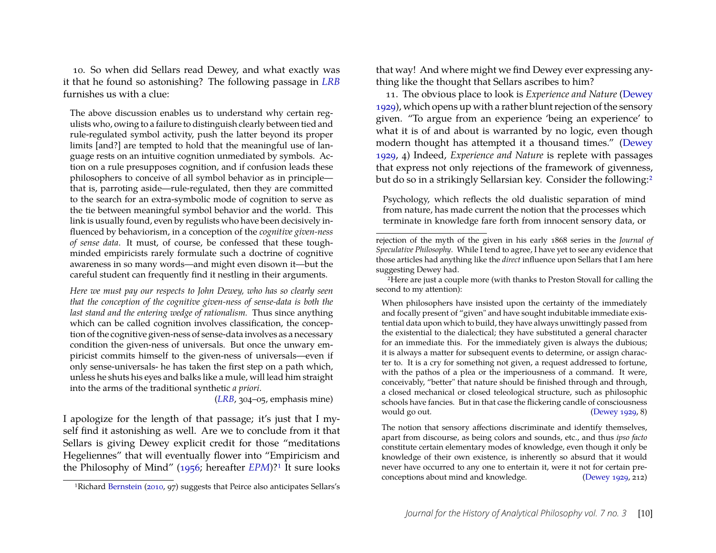10. So when did Sellars read Dewey, and what exactly was it that he found so astonishing? The following passage in *[LRB](#page-7-1)* furnishes us with a clue:

The above discussion enables us to understand why certain regulists who, owing to a failure to distinguish clearly between tied and rule-regulated symbol activity, push the latter beyond its proper limits [and?] are tempted to hold that the meaningful use of language rests on an intuitive cognition unmediated by symbols. Action on a rule presupposes cognition, and if confusion leads these philosophers to conceive of all symbol behavior as in principle that is, parroting aside—rule-regulated, then they are committed to the search for an extra-symbolic mode of cognition to serve as the tie between meaningful symbol behavior and the world. This link is usually found, even by regulists who have been decisively influenced by behaviorism, in a conception of the *cognitive given-ness of sense data*. It must, of course, be confessed that these toughminded empiricists rarely formulate such a doctrine of cognitive awareness in so many words—and might even disown it—but the careful student can frequently find it nestling in their arguments.

*Here we must pay our respects to John Dewey, who has so clearly seen that the conception of the cognitive given-ness of sense-data is both the last stand and the entering wedge of rationalism.* Thus since anything which can be called cognition involves classification, the conception of the cognitive given-ness of sense-data involves as a necessary condition the given-ness of universals. But once the unwary empiricist commits himself to the given-ness of universals—even if only sense-universals- he has taken the first step on a path which, unless he shuts his eyes and balks like a mule, will lead him straight into the arms of the traditional synthetic *a priori*.

(*[LRB](#page-7-1)*, 304–05, emphasis mine)

I apologize for the length of that passage; it's just that I myself find it astonishing as well. Are we to conclude from it that Sellars is giving Dewey explicit credit for those "meditations Hegeliennes" that will eventually flower into "Empiricism and the Philosophy of Mind" [\(1956;](#page-7-5) hereafter *[EPM](#page-7-5)*)?<sup>[1](#page-4-0)</sup> It sure looks that way! And where might we find Dewey ever expressing anything like the thought that Sellars ascribes to him?

11. The obvious place to look is *Experience and Nature* [\(Dewey](#page-7-7) [1929\)](#page-7-7), which opens up with a rather blunt rejection of the sensory given. "To argue from an experience 'being an experience' to what it is of and about is warranted by no logic, even though modern thought has attempted it a thousand times." [\(Dewey](#page-7-7) [1929,](#page-7-7) 4) Indeed, *Experience and Nature* is replete with passages that express not only rejections of the framework of givenness, but do so in a strikingly Sellarsian key. Consider the following:[2](#page-4-1)

Psychology, which reflects the old dualistic separation of mind from nature, has made current the notion that the processes which terminate in knowledge fare forth from innocent sensory data, or

When philosophers have insisted upon the certainty of the immediately and focally present of "given" and have sought indubitable immediate existential data upon which to build, they have always unwittingly passed from the existential to the dialectical; they have substituted a general character for an immediate this. For the immediately given is always the dubious; it is always a matter for subsequent events to determine, or assign character to. It is a cry for something not given, a request addressed to fortune, with the pathos of a plea or the imperiousness of a command. It were, conceivably, "better" that nature should be finished through and through, a closed mechanical or closed teleological structure, such as philosophic schools have fancies. But in that case the flickering candle of consciousness would go out. [\(Dewey 1929,](#page-7-7) 8)

The notion that sensory affections discriminate and identify themselves, apart from discourse, as being colors and sounds, etc., and thus *ipso facto* constitute certain elementary modes of knowledge, even though it only be knowledge of their own existence, is inherently so absurd that it would never have occurred to any one to entertain it, were it not for certain preconceptions about mind and knowledge. [\(Dewey 1929,](#page-7-7) 212)

<span id="page-4-0"></span><sup>1</sup>Richard [Bernstein](#page-7-6) [\(2010,](#page-7-6) 97) suggests that Peirce also anticipates Sellars's

rejection of the myth of the given in his early 1868 series in the *Journal of Speculative Philosophy*. While I tend to agree, I have yet to see any evidence that those articles had anything like the *direct* influence upon Sellars that I am here suggesting Dewey had.

<span id="page-4-1"></span><sup>2</sup>Here are just a couple more (with thanks to Preston Stovall for calling the second to my attention):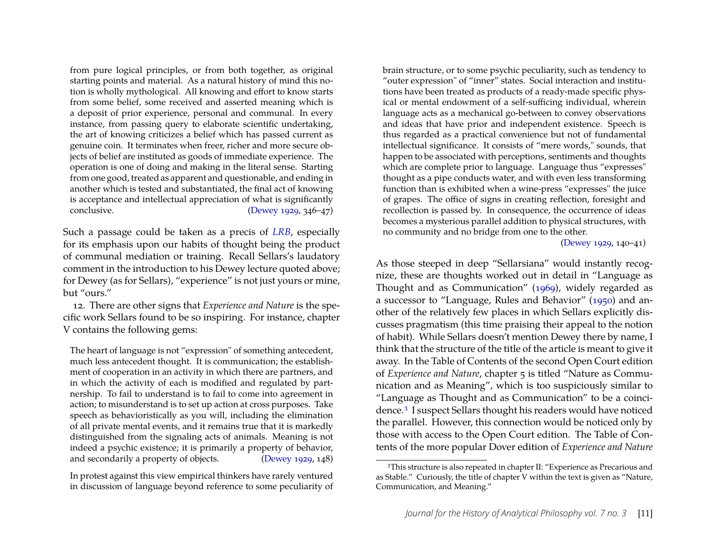from pure logical principles, or from both together, as original starting points and material. As a natural history of mind this notion is wholly mythological. All knowing and effort to know starts from some belief, some received and asserted meaning which is a deposit of prior experience, personal and communal. In every instance, from passing query to elaborate scientific undertaking, the art of knowing criticizes a belief which has passed current as genuine coin. It terminates when freer, richer and more secure objects of belief are instituted as goods of immediate experience. The operation is one of doing and making in the literal sense. Starting from one good, treated as apparent and questionable, and ending in another which is tested and substantiated, the final act of knowing is acceptance and intellectual appreciation of what is significantly conclusive. [\(Dewey 1929,](#page-7-7) 346–47)

Such a passage could be taken as a precis of *[LRB](#page-7-1)*, especially for its emphasis upon our habits of thought being the product of communal mediation or training. Recall Sellars's laudatory comment in the introduction to his Dewey lecture quoted above; for Dewey (as for Sellars), "experience" is not just yours or mine, but "ours."

12. There are other signs that *Experience and Nature* is the specific work Sellars found to be so inspiring. For instance, chapter V contains the following gems:

The heart of language is not "expression" of something antecedent, much less antecedent thought. It is communication; the establishment of cooperation in an activity in which there are partners, and in which the activity of each is modified and regulated by partnership. To fail to understand is to fail to come into agreement in action; to misunderstand is to set up action at cross purposes. Take speech as behavioristically as you will, including the elimination of all private mental events, and it remains true that it is markedly distinguished from the signaling acts of animals. Meaning is not indeed a psychic existence; it is primarily a property of behavior, and secondarily a property of objects. [\(Dewey 1929,](#page-7-7) 148)

In protest against this view empirical thinkers have rarely ventured in discussion of language beyond reference to some peculiarity of

brain structure, or to some psychic peculiarity, such as tendency to "outer expression" of "inner" states. Social interaction and institutions have been treated as products of a ready-made specific physical or mental endowment of a self-sufficing individual, wherein language acts as a mechanical go-between to convey observations and ideas that have prior and independent existence. Speech is thus regarded as a practical convenience but not of fundamental intellectual significance. It consists of "mere words," sounds, that happen to be associated with perceptions, sentiments and thoughts which are complete prior to language. Language thus "expresses" thought as a pipe conducts water, and with even less transforming function than is exhibited when a wine-press "expresses" the juice of grapes. The office of signs in creating reflection, foresight and recollection is passed by. In consequence, the occurrence of ideas becomes a mysterious parallel addition to physical structures, with no community and no bridge from one to the other.

[\(Dewey 1929,](#page-7-7) 140–41)

As those steeped in deep "Sellarsiana" would instantly recognize, these are thoughts worked out in detail in "Language as Thought and as Communication" [\(1969\)](#page-7-8), widely regarded as a successor to "Language, Rules and Behavior" [\(1950\)](#page-7-1) and another of the relatively few places in which Sellars explicitly discusses pragmatism (this time praising their appeal to the notion of habit). While Sellars doesn't mention Dewey there by name, I think that the structure of the title of the article is meant to give it away. In the Table of Contents of the second Open Court edition of *Experience and Nature*, chapter 5 is titled "Nature as Communication and as Meaning", which is too suspiciously similar to "Language as Thought and as Communication" to be a coincidence.[3](#page-5-0) I suspect Sellars thought his readers would have noticed the parallel. However, this connection would be noticed only by those with access to the Open Court edition. The Table of Contents of the more popular Dover edition of *Experience and Nature*

<span id="page-5-0"></span><sup>3</sup>This structure is also repeated in chapter II: "Experience as Precarious and as Stable." Curiously, the title of chapter V within the text is given as "Nature, Communication, and Meaning."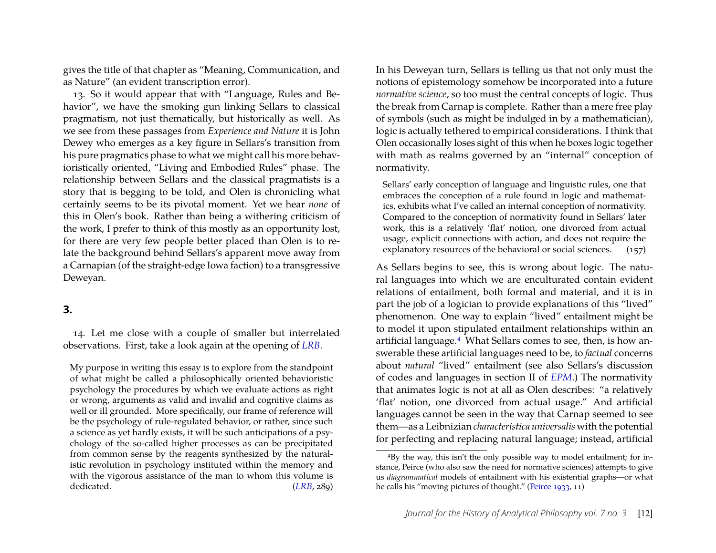gives the title of that chapter as "Meaning, Communication, and as Nature" (an evident transcription error).

13. So it would appear that with "Language, Rules and Behavior", we have the smoking gun linking Sellars to classical pragmatism, not just thematically, but historically as well. As we see from these passages from *Experience and Nature* it is John Dewey who emerges as a key figure in Sellars's transition from his pure pragmatics phase to what we might call his more behavioristically oriented, "Living and Embodied Rules" phase. The relationship between Sellars and the classical pragmatists is a story that is begging to be told, and Olen is chronicling what certainly seems to be its pivotal moment. Yet we hear *none* of this in Olen's book. Rather than being a withering criticism of the work, I prefer to think of this mostly as an opportunity lost, for there are very few people better placed than Olen is to relate the background behind Sellars's apparent move away from a Carnapian (of the straight-edge Iowa faction) to a transgressive Deweyan.

## **3.**

14. Let me close with a couple of smaller but interrelated observations. First, take a look again at the opening of *[LRB](#page-7-1)*.

My purpose in writing this essay is to explore from the standpoint of what might be called a philosophically oriented behavioristic psychology the procedures by which we evaluate actions as right or wrong, arguments as valid and invalid and cognitive claims as well or ill grounded. More specifically, our frame of reference will be the psychology of rule-regulated behavior, or rather, since such a science as yet hardly exists, it will be such anticipations of a psychology of the so-called higher processes as can be precipitated from common sense by the reagents synthesized by the naturalistic revolution in psychology instituted within the memory and with the vigorous assistance of the man to whom this volume is dedicated. (*[LRB](#page-7-1)*, 289)

In his Deweyan turn, Sellars is telling us that not only must the notions of epistemology somehow be incorporated into a future *normative science*, so too must the central concepts of logic. Thus the break from Carnap is complete. Rather than a mere free play of symbols (such as might be indulged in by a mathematician), logic is actually tethered to empirical considerations. I think that Olen occasionally loses sight of this when he boxes logic together with math as realms governed by an "internal" conception of normativity.

Sellars' early conception of language and linguistic rules, one that embraces the conception of a rule found in logic and mathematics, exhibits what I've called an internal conception of normativity. Compared to the conception of normativity found in Sellars' later work, this is a relatively 'flat' notion, one divorced from actual usage, explicit connections with action, and does not require the explanatory resources of the behavioral or social sciences. (157)

As Sellars begins to see, this is wrong about logic. The natural languages into which we are enculturated contain evident relations of entailment, both formal and material, and it is in part the job of a logician to provide explanations of this "lived" phenomenon. One way to explain "lived" entailment might be to model it upon stipulated entailment relationships within an artificial language.[4](#page-6-0) What Sellars comes to see, then, is how answerable these artificial languages need to be, to *factual* concerns about *natural* "lived" entailment (see also Sellars's discussion of codes and languages in section II of *[EPM](#page-7-5)*.) The normativity that animates logic is not at all as Olen describes: "a relatively 'flat' notion, one divorced from actual usage." And artificial languages cannot be seen in the way that Carnap seemed to see them—as a Leibnizian *characteristica universalis* with the potential for perfecting and replacing natural language; instead, artificial

<span id="page-6-0"></span><sup>4</sup>By the way, this isn't the only possible way to model entailment; for instance, Peirce (who also saw the need for normative sciences) attempts to give us *diagrammatical* models of entailment with his existential graphs—or what he calls his "moving pictures of thought." [\(Peirce 1933,](#page-7-9) 11)